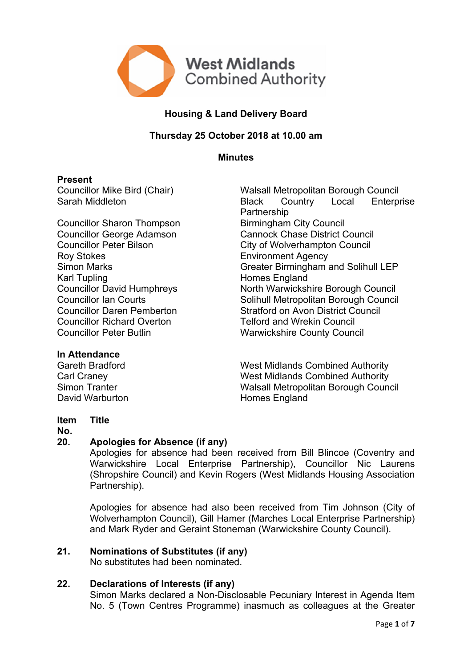

# **Housing & Land Delivery Board**

## **Thursday 25 October 2018 at 10.00 am**

**Minutes**

#### **Present**

Councillor Sharon Thompson Roy Stokes **Environment Agency** Karl Tupling<br>
Councillor David Humphreys<br>
North Warwicksh **Councillor Richard Overton Telford and Wrekin Council<br>Councillor Peter Butlin Council Council Council Council** 

Councillor Mike Bird (Chair) Walsall Metropolitan Borough Council Sarah Middleton **Black Country** Local Enterprise Partnership<br>Birmingham City Council Councillor George Adamson Cannock Chase District Council Councillor Peter Bilson City of Wolverhampton Council Simon Marks Greater Birmingham and Solihull LEP North Warwickshire Borough Council Councillor Ian Courts Solihull Metropolitan Borough Council Councillor Daren Pemberton Stratford on Avon District Council Warwickshire County Council

## **In Attendance**

David Warburton **Homes** England

Gareth Bradford **West Midlands Combined Authority** Carl Craney West Midlands Combined Authority Simon Tranter Walsall Metropolitan Borough Council

#### **Item Title**

#### **No.**

## **20. Apologies for Absence (if any)**

Apologies for absence had been received from Bill Blincoe (Coventry and Warwickshire Local Enterprise Partnership), Councillor Nic Laurens (Shropshire Council) and Kevin Rogers (West Midlands Housing Association Partnership).

Apologies for absence had also been received from Tim Johnson (City of Wolverhampton Council), Gill Hamer (Marches Local Enterprise Partnership) and Mark Ryder and Geraint Stoneman (Warwickshire County Council).

# **21. Nominations of Substitutes (if any)**

No substitutes had been nominated.

## **22. Declarations of Interests (if any)**

Simon Marks declared a Non-Disclosable Pecuniary Interest in Agenda Item No. 5 (Town Centres Programme) inasmuch as colleagues at the Greater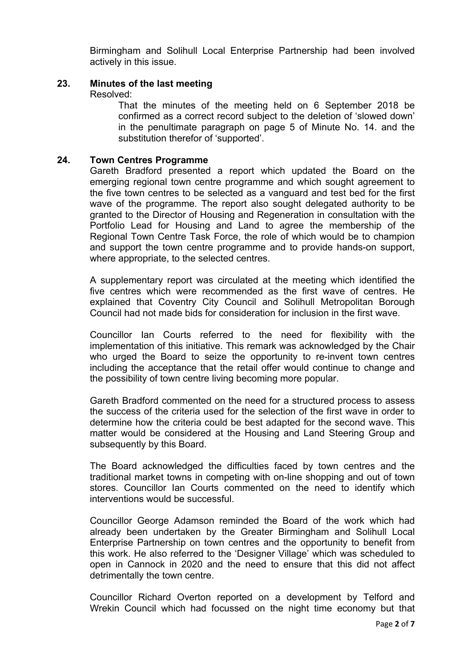Birmingham and Solihull Local Enterprise Partnership had been involved actively in this issue.

#### **23. Minutes of the last meeting**

Resolved:

That the minutes of the meeting held on 6 September 2018 be confirmed as a correct record subject to the deletion of 'slowed down' in the penultimate paragraph on page 5 of Minute No. 14. and the substitution therefor of 'supported'.

#### **24. Town Centres Programme**

Gareth Bradford presented a report which updated the Board on the emerging regional town centre programme and which sought agreement to the five town centres to be selected as a vanguard and test bed for the first wave of the programme. The report also sought delegated authority to be granted to the Director of Housing and Regeneration in consultation with the Portfolio Lead for Housing and Land to agree the membership of the Regional Town Centre Task Force, the role of which would be to champion and support the town centre programme and to provide hands-on support, where appropriate, to the selected centres.

A supplementary report was circulated at the meeting which identified the five centres which were recommended as the first wave of centres. He explained that Coventry City Council and Solihull Metropolitan Borough Council had not made bids for consideration for inclusion in the first wave.

Councillor Ian Courts referred to the need for flexibility with the implementation of this initiative. This remark was acknowledged by the Chair who urged the Board to seize the opportunity to re-invent town centres including the acceptance that the retail offer would continue to change and the possibility of town centre living becoming more popular.

Gareth Bradford commented on the need for a structured process to assess the success of the criteria used for the selection of the first wave in order to determine how the criteria could be best adapted for the second wave. This matter would be considered at the Housing and Land Steering Group and subsequently by this Board.

The Board acknowledged the difficulties faced by town centres and the traditional market towns in competing with on-line shopping and out of town stores. Councillor Ian Courts commented on the need to identify which interventions would be successful.

Councillor George Adamson reminded the Board of the work which had already been undertaken by the Greater Birmingham and Solihull Local Enterprise Partnership on town centres and the opportunity to benefit from this work. He also referred to the 'Designer Village' which was scheduled to open in Cannock in 2020 and the need to ensure that this did not affect detrimentally the town centre.

Councillor Richard Overton reported on a development by Telford and Wrekin Council which had focussed on the night time economy but that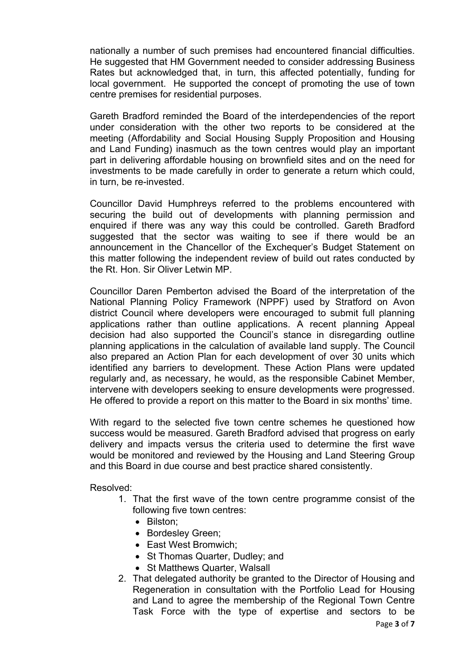nationally a number of such premises had encountered financial difficulties. He suggested that HM Government needed to consider addressing Business Rates but acknowledged that, in turn, this affected potentially, funding for local government. He supported the concept of promoting the use of town centre premises for residential purposes.

Gareth Bradford reminded the Board of the interdependencies of the report under consideration with the other two reports to be considered at the meeting (Affordability and Social Housing Supply Proposition and Housing and Land Funding) inasmuch as the town centres would play an important part in delivering affordable housing on brownfield sites and on the need for investments to be made carefully in order to generate a return which could, in turn, be re-invested.

Councillor David Humphreys referred to the problems encountered with securing the build out of developments with planning permission and enquired if there was any way this could be controlled. Gareth Bradford suggested that the sector was waiting to see if there would be an announcement in the Chancellor of the Exchequer's Budget Statement on this matter following the independent review of build out rates conducted by the Rt. Hon. Sir Oliver Letwin MP.

Councillor Daren Pemberton advised the Board of the interpretation of the National Planning Policy Framework (NPPF) used by Stratford on Avon district Council where developers were encouraged to submit full planning applications rather than outline applications. A recent planning Appeal decision had also supported the Council's stance in disregarding outline planning applications in the calculation of available land supply. The Council also prepared an Action Plan for each development of over 30 units which identified any barriers to development. These Action Plans were updated regularly and, as necessary, he would, as the responsible Cabinet Member, intervene with developers seeking to ensure developments were progressed. He offered to provide a report on this matter to the Board in six months' time.

With regard to the selected five town centre schemes he questioned how success would be measured. Gareth Bradford advised that progress on early delivery and impacts versus the criteria used to determine the first wave would be monitored and reviewed by the Housing and Land Steering Group and this Board in due course and best practice shared consistently.

#### Resolved:

- 1. That the first wave of the town centre programme consist of the following five town centres:
	- Bilston;
	- Bordesley Green;
	- East West Bromwich:
	- St Thomas Quarter, Dudley; and
	- St Matthews Quarter, Walsall
- 2. That delegated authority be granted to the Director of Housing and Regeneration in consultation with the Portfolio Lead for Housing and Land to agree the membership of the Regional Town Centre Task Force with the type of expertise and sectors to be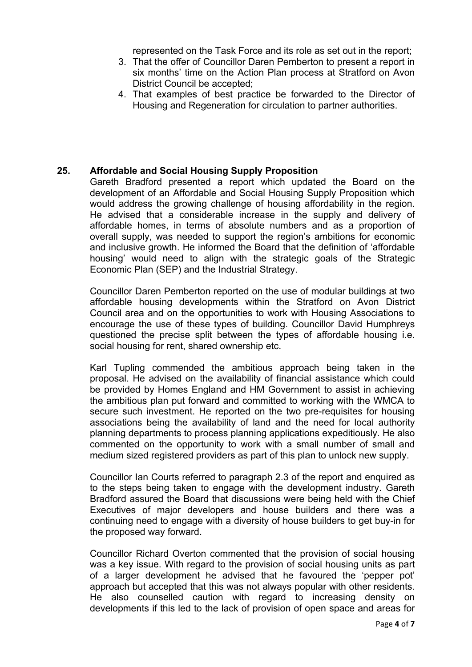represented on the Task Force and its role as set out in the report;

- 3. That the offer of Councillor Daren Pemberton to present a report in six months' time on the Action Plan process at Stratford on Avon District Council be accepted;
- 4. That examples of best practice be forwarded to the Director of Housing and Regeneration for circulation to partner authorities.

## **25. Affordable and Social Housing Supply Proposition**

Gareth Bradford presented a report which updated the Board on the development of an Affordable and Social Housing Supply Proposition which would address the growing challenge of housing affordability in the region. He advised that a considerable increase in the supply and delivery of affordable homes, in terms of absolute numbers and as a proportion of overall supply, was needed to support the region's ambitions for economic and inclusive growth. He informed the Board that the definition of 'affordable housing' would need to align with the strategic goals of the Strategic Economic Plan (SEP) and the Industrial Strategy.

Councillor Daren Pemberton reported on the use of modular buildings at two affordable housing developments within the Stratford on Avon District Council area and on the opportunities to work with Housing Associations to encourage the use of these types of building. Councillor David Humphreys questioned the precise split between the types of affordable housing i.e. social housing for rent, shared ownership etc.

Karl Tupling commended the ambitious approach being taken in the proposal. He advised on the availability of financial assistance which could be provided by Homes England and HM Government to assist in achieving the ambitious plan put forward and committed to working with the WMCA to secure such investment. He reported on the two pre-requisites for housing associations being the availability of land and the need for local authority planning departments to process planning applications expeditiously. He also commented on the opportunity to work with a small number of small and medium sized registered providers as part of this plan to unlock new supply.

Councillor Ian Courts referred to paragraph 2.3 of the report and enquired as to the steps being taken to engage with the development industry. Gareth Bradford assured the Board that discussions were being held with the Chief Executives of major developers and house builders and there was a continuing need to engage with a diversity of house builders to get buy-in for the proposed way forward.

Councillor Richard Overton commented that the provision of social housing was a key issue. With regard to the provision of social housing units as part of a larger development he advised that he favoured the 'pepper pot' approach but accepted that this was not always popular with other residents. He also counselled caution with regard to increasing density on developments if this led to the lack of provision of open space and areas for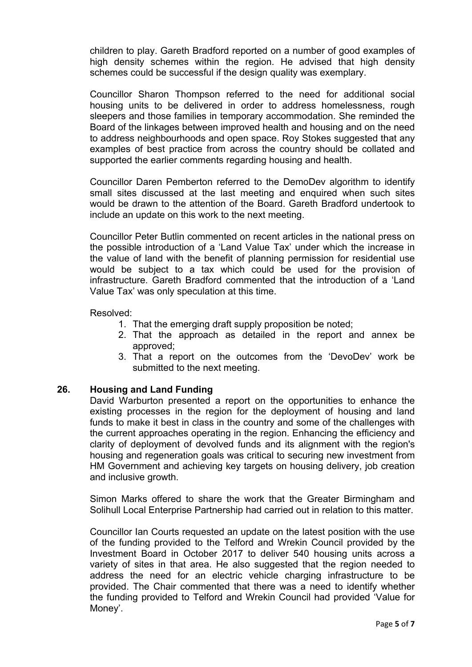children to play. Gareth Bradford reported on a number of good examples of high density schemes within the region. He advised that high density schemes could be successful if the design quality was exemplary.

Councillor Sharon Thompson referred to the need for additional social housing units to be delivered in order to address homelessness, rough sleepers and those families in temporary accommodation. She reminded the Board of the linkages between improved health and housing and on the need to address neighbourhoods and open space. Roy Stokes suggested that any examples of best practice from across the country should be collated and supported the earlier comments regarding housing and health.

Councillor Daren Pemberton referred to the DemoDev algorithm to identify small sites discussed at the last meeting and enquired when such sites would be drawn to the attention of the Board. Gareth Bradford undertook to include an update on this work to the next meeting.

Councillor Peter Butlin commented on recent articles in the national press on the possible introduction of a 'Land Value Tax' under which the increase in the value of land with the benefit of planning permission for residential use would be subject to a tax which could be used for the provision of infrastructure. Gareth Bradford commented that the introduction of a 'Land Value Tax' was only speculation at this time.

#### Resolved:

- 1. That the emerging draft supply proposition be noted;
- 2. That the approach as detailed in the report and annex be approved;
- 3. That a report on the outcomes from the 'DevoDev' work be submitted to the next meeting.

## **26. Housing and Land Funding**

David Warburton presented a report on the opportunities to enhance the existing processes in the region for the deployment of housing and land funds to make it best in class in the country and some of the challenges with the current approaches operating in the region. Enhancing the efficiency and clarity of deployment of devolved funds and its alignment with the region's housing and regeneration goals was critical to securing new investment from HM Government and achieving key targets on housing delivery, job creation and inclusive growth.

Simon Marks offered to share the work that the Greater Birmingham and Solihull Local Enterprise Partnership had carried out in relation to this matter.

Councillor Ian Courts requested an update on the latest position with the use of the funding provided to the Telford and Wrekin Council provided by the Investment Board in October 2017 to deliver 540 housing units across a variety of sites in that area. He also suggested that the region needed to address the need for an electric vehicle charging infrastructure to be provided. The Chair commented that there was a need to identify whether the funding provided to Telford and Wrekin Council had provided 'Value for Money'.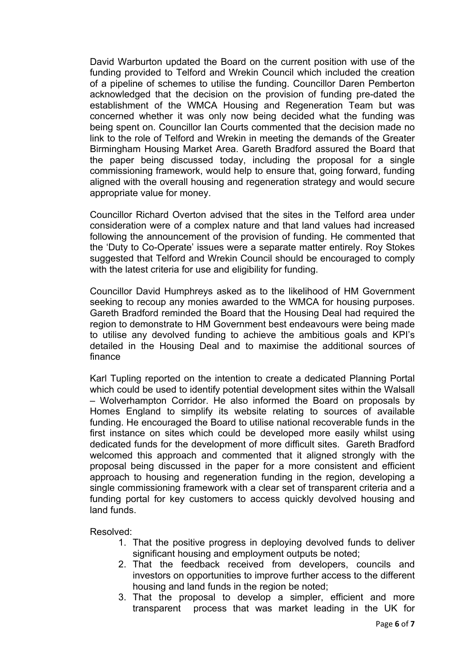David Warburton updated the Board on the current position with use of the funding provided to Telford and Wrekin Council which included the creation of a pipeline of schemes to utilise the funding. Councillor Daren Pemberton acknowledged that the decision on the provision of funding pre-dated the establishment of the WMCA Housing and Regeneration Team but was concerned whether it was only now being decided what the funding was being spent on. Councillor Ian Courts commented that the decision made no link to the role of Telford and Wrekin in meeting the demands of the Greater Birmingham Housing Market Area. Gareth Bradford assured the Board that the paper being discussed today, including the proposal for a single commissioning framework, would help to ensure that, going forward, funding aligned with the overall housing and regeneration strategy and would secure appropriate value for money.

Councillor Richard Overton advised that the sites in the Telford area under consideration were of a complex nature and that land values had increased following the announcement of the provision of funding. He commented that the 'Duty to Co-Operate' issues were a separate matter entirely. Roy Stokes suggested that Telford and Wrekin Council should be encouraged to comply with the latest criteria for use and eligibility for funding.

Councillor David Humphreys asked as to the likelihood of HM Government seeking to recoup any monies awarded to the WMCA for housing purposes. Gareth Bradford reminded the Board that the Housing Deal had required the region to demonstrate to HM Government best endeavours were being made to utilise any devolved funding to achieve the ambitious goals and KPI's detailed in the Housing Deal and to maximise the additional sources of finance

Karl Tupling reported on the intention to create a dedicated Planning Portal which could be used to identify potential development sites within the Walsall – Wolverhampton Corridor. He also informed the Board on proposals by Homes England to simplify its website relating to sources of available funding. He encouraged the Board to utilise national recoverable funds in the first instance on sites which could be developed more easily whilst using dedicated funds for the development of more difficult sites. Gareth Bradford welcomed this approach and commented that it aligned strongly with the proposal being discussed in the paper for a more consistent and efficient approach to housing and regeneration funding in the region, developing a single commissioning framework with a clear set of transparent criteria and a funding portal for key customers to access quickly devolved housing and land funds.

Resolved:

- 1. That the positive progress in deploying devolved funds to deliver significant housing and employment outputs be noted;
- 2. That the feedback received from developers, councils and investors on opportunities to improve further access to the different housing and land funds in the region be noted;
- 3. That the proposal to develop a simpler, efficient and more transparent process that was market leading in the UK for